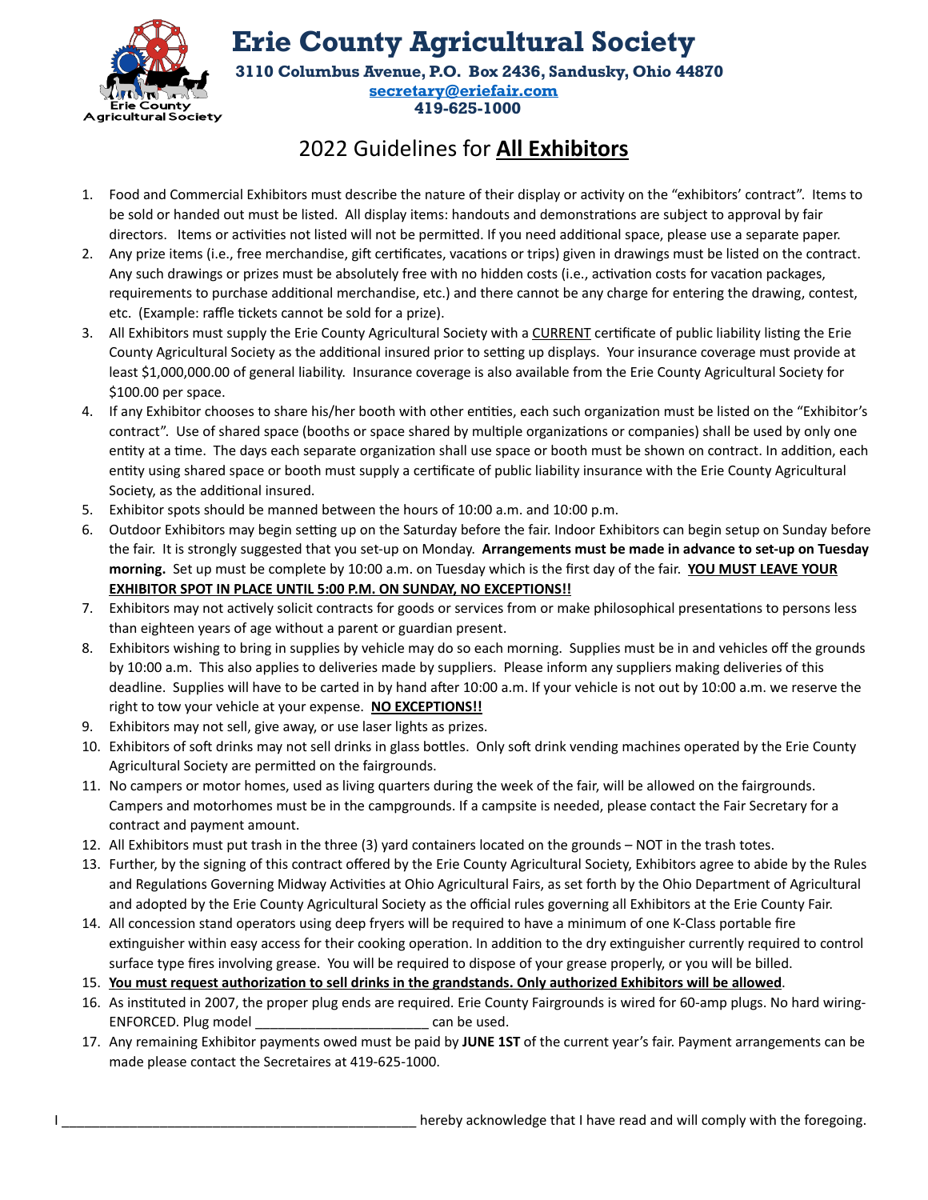

**Erie County Agricultural Society 3110 Columbus Avenue, P.O. Box 2436, Sandusky, Ohio 44870**

**[secretary@eriefair.com](mailto:secretary@eriefair.com) 419-625-1000**

## 2022 Guidelines for **All Exhibitors**

- 1. Food and Commercial Exhibitors must describe the nature of their display or activity on the "exhibitors' contract". Items to be sold or handed out must be listed. All display items: handouts and demonstrations are subject to approval by fair directors. Items or activities not listed will not be permitted. If you need additional space, please use a separate paper.
- 2. Any prize items (i.e., free merchandise, gift certificates, vacations or trips) given in drawings must be listed on the contract. Any such drawings or prizes must be absolutely free with no hidden costs (i.e., activation costs for vacation packages, requirements to purchase additional merchandise, etc.) and there cannot be any charge for entering the drawing, contest, etc. (Example: raffle tickets cannot be sold for a prize).
- 3. All Exhibitors must supply the Erie County Agricultural Society with a CURRENT certificate of public liability listing the Erie County Agricultural Society as the additional insured prior to setting up displays. Your insurance coverage must provide at least \$1,000,000.00 of general liability. Insurance coverage is also available from the Erie County Agricultural Society for \$100.00 per space.
- 4. If any Exhibitor chooses to share his/her booth with other entities, each such organization must be listed on the "Exhibitor's contract". Use of shared space (booths or space shared by multiple organizations or companies) shall be used by only one entity at a time. The days each separate organization shall use space or booth must be shown on contract. In addition, each entity using shared space or booth must supply a certificate of public liability insurance with the Erie County Agricultural Society, as the additional insured.
- 5. Exhibitor spots should be manned between the hours of 10:00 a.m. and 10:00 p.m.
- 6. Outdoor Exhibitors may begin setting up on the Saturday before the fair. Indoor Exhibitors can begin setup on Sunday before the fair. It is strongly suggested that you set-up on Monday. **Arrangements must be made in advance to set-up on Tuesday morning.** Set up must be complete by 10:00 a.m. on Tuesday which is the first day of the fair. **YOU MUST LEAVE YOUR EXHIBITOR SPOT IN PLACE UNTIL 5:00 P.M. ON SUNDAY, NO EXCEPTIONS!!**
- 7. Exhibitors may not actively solicit contracts for goods or services from or make philosophical presentations to persons less than eighteen years of age without a parent or guardian present.
- 8. Exhibitors wishing to bring in supplies by vehicle may do so each morning. Supplies must be in and vehicles off the grounds by 10:00 a.m. This also applies to deliveries made by suppliers. Please inform any suppliers making deliveries of this deadline. Supplies will have to be carted in by hand after 10:00 a.m. If your vehicle is not out by 10:00 a.m. we reserve the right to tow your vehicle at your expense. **NO EXCEPTIONS!!**
- 9. Exhibitors may not sell, give away, or use laser lights as prizes.
- 10. Exhibitors of soft drinks may not sell drinks in glass bottles. Only soft drink vending machines operated by the Erie County Agricultural Society are permitted on the fairgrounds.
- 11. No campers or motor homes, used as living quarters during the week of the fair, will be allowed on the fairgrounds. Campers and motorhomes must be in the campgrounds. If a campsite is needed, please contact the Fair Secretary for a contract and payment amount.
- 12. All Exhibitors must put trash in the three (3) yard containers located on the grounds NOT in the trash totes.
- 13. Further, by the signing of this contract offered by the Erie County Agricultural Society, Exhibitors agree to abide by the Rules and Regulations Governing Midway Activities at Ohio Agricultural Fairs, as set forth by the Ohio Department of Agricultural and adopted by the Erie County Agricultural Society as the official rules governing all Exhibitors at the Erie County Fair.
- 14. All concession stand operators using deep fryers will be required to have a minimum of one K-Class portable fire extinguisher within easy access for their cooking operation. In addition to the dry extinguisher currently required to control surface type fires involving grease. You will be required to dispose of your grease properly, or you will be billed.
- 15. **You must request authorization to sell drinks in the grandstands. Only authorized Exhibitors will be allowed**.
- 16. As instituted in 2007, the proper plug ends are required. Erie County Fairgrounds is wired for 60-amp plugs. No hard wiring-ENFORCED. Plug model example a can be used.
- 17. Any remaining Exhibitor payments owed must be paid by **JUNE 1ST** of the current year's fair. Payment arrangements can be made please contact the Secretaires at 419-625-1000.